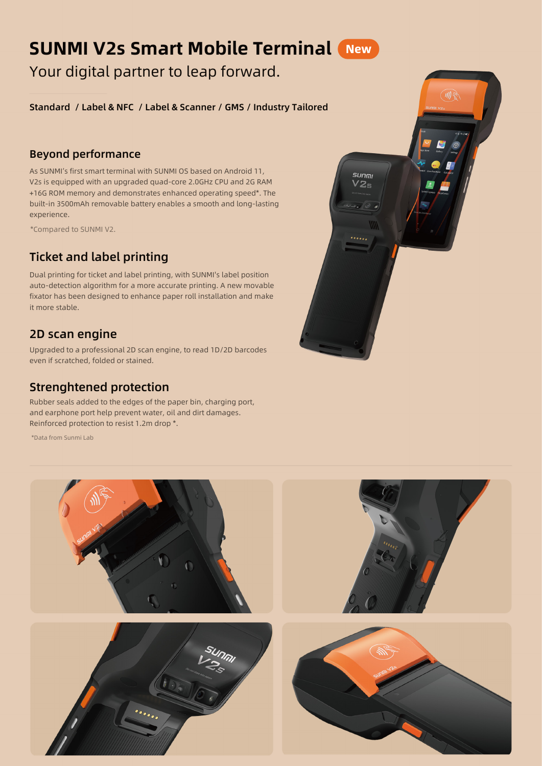# SUNMI V2s Smart Mobile Terminal

Your digital partner to leap forward.

Standard / Label & NFC / Label & Scanner / GMS / Industry Tailored

#### Beyond performance

As SUNMI's first smart terminal with SUNMI OS based on Android 11, V2s is equipped with an upgraded quad-core 2.0GHz CPU and 2G RAM +16G ROM memory and demonstrates enhanced operating speed\*. The built-in 3500mAh removable battery enables a smooth and long-lasting experience.

\*Compared to SUNMI V2.

# Ticket and label printing

Dual printing for ticket and label printing, with SUNMI's label position auto-detection algorithm for a more accurate printing. A new movable fixator has been designed to enhance paper roll installation and make it more stable.

### 2D scan engine

Upgraded to a professional 2D scan engine, to read 1D/2D barcodes even if scratched, folded or stained.

## Strenghtened protection

Rubber seals added to the edges of the paper bin, charging port, and earphone port help prevent water, oil and dirt damages. Reinforced protection to resist 1.2m drop \*.

\*Data from Sunmi Lab